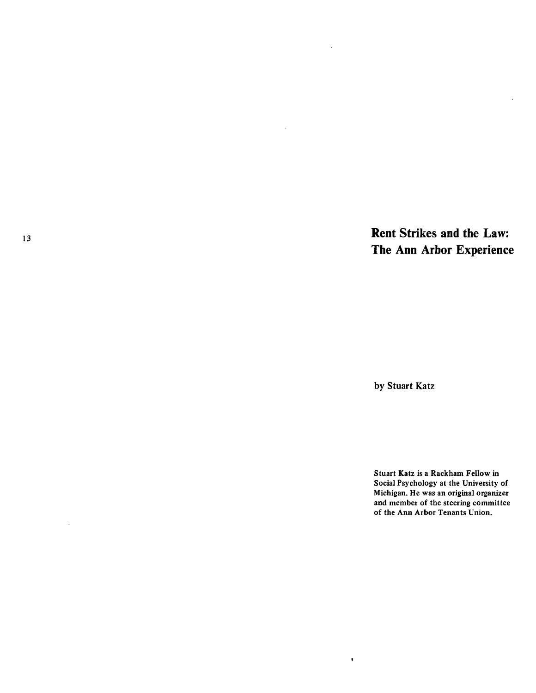<sup>13</sup>**Rent Strikes and the Law: The Ann Arbor Experience** 

by Stuart Katz

 $\pmb{\ast}$ 

 $\sim$ 

 $\sim$ 

Stuart Katz is a Rackham Fellow in Social Psychology at the University of Michigan. He was an original organizer and member of the steering committee of the Ann Arbor Tenants Union.

 $\mathcal{L}$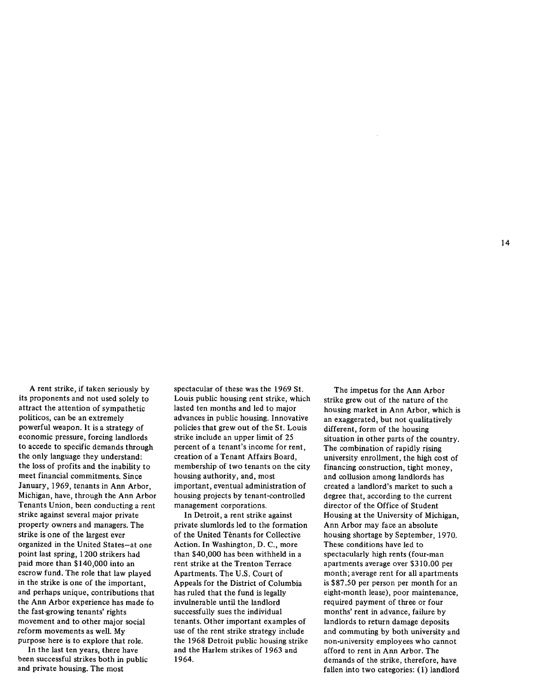A rent strike, if taken seriously by its proponents and not used solely to attract the attention of sympathetic politicos, can be an extremely powerful weapon. It is a strategy of economic pressure, forcing landlords to accede to specific demands through the only language they understand: the loss of profits and the inability to meet financial commitments. Since January, 1969, tenants in Ann Arbor, Michigan, have, through the Ann Arbor Tenants Union, been conducting a rent strike against several major private property owners and managers. The strike is one of the largest ever organized in the United States-at one point last spring, 1200 strikers had paid more than \$140,000 into an escrow fund. The role that law played in the strike is one of the important, and perhaps unique, contributions that the Ann Arbor experience has made *io*  the fast-growing tenants' rights movement and to other major social reform movements as well. My purpose here is to explore that role.

In the last ten years, there have been successful strikes both in public and private housing. The most

spectacular of these was the 1969 St. Louis public housing rent strike, which lasted ten months and led to major advances in public housing. Innovative policies that grew out of the St. Louis strike include an upper limit of 25 percent of a tenant's income for rent, creation of a Tenant Affairs Board, membership of two tenants on the city housing authority, and, most important, eventual administration of housing projects by tenant-controlled management corporations.

In Detroit, a rent strike against private slumlords led to the formation of the United Tenants for Collective Action. In Washington, D. C., more than \$40,000 has been withheld in a rent strike at the Trenton Terrace Apartments. The U.S. Court of Appeals for the District of Columbia has ruled that the fund is legally invulnerable until the landlord successfully sues the individual tenants. Other important examples of use of the rent strike strategy include the 1968 Detroit public housing strike and the Harlem strikes of 1963 and 1964.

The impetus for the Ann Arbor strike grew out of the nature of the housing market in Ann Arbor, which is an exaggerated, but not qualitatively different, form of the housing situation in other parts of the country. The combination of rapidly rising university enrollment, the high cost of financing construction, tight money, and collusion among landlords has created a landlord's market to such a degree that, according to the current director of the Office of Student Housing at the University of Michigan, Ann Arbor may face an absolute housing shortage by September, 1970. These conditions have led to spectacularly high rents (four-man apartments average over \$310.00 per month; average rent for all apartments is \$87 .SO per person per month for an eight-month lease), poor maintenance, required payment of three or four months' rent in advance, failure by landlords to return damage deposits and commuting by both university and non-university employees who cannot afford to rent in Ann Arbor. The demands of the strike, therefore, have fallen into two categories: (1) landlord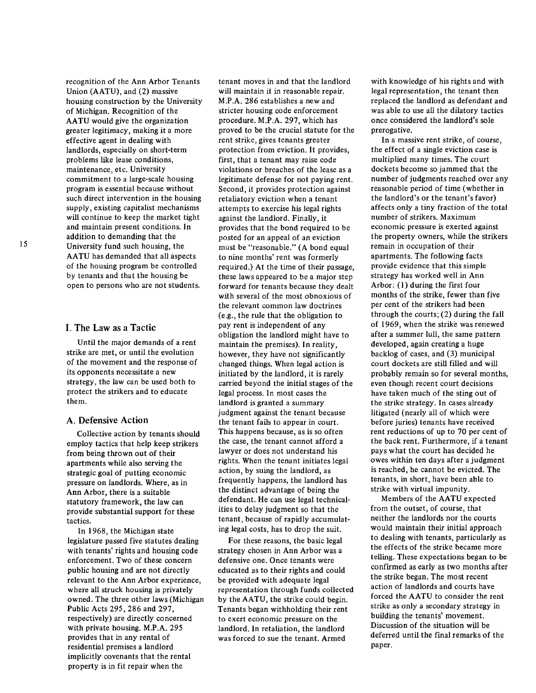recognition of the Ann Arbor Tenants Union (AATU), and (2) massive housing construction by the University of Michigan. Recognition of the AATU would give the organization greater legitimacy, making it a more effective agent in dealing with landlords, especially on short-term problems like lease conditions, maintenance, etc. University commitment to a large-scale housing program is essential because without such direct intervention in the housing supply, existing capitalist mechanisms will continue to keep the market tight and maintain present conditions. In addition to demanding that the University fund such housing, the AATU has demanded that all aspects of the housing program be controlled by tenants and that the housing be open to persons who are not students.

### I. The Law as a Tactic

Until the major demands of a rent strike are met, or until the evolution of the movement and the response of its opponents necessitate a new strategy, the law can be used both to protect the strikers and to educate them.

#### A. Defensive Action

Collective action by tenants should employ tactics that help keep strikers from being thrown out of their apartments while also serving the strategic goal of putting economic pressure on landlords. Where, as in Ann Arbor, there is a suitable statutory framework, the law can provide substantial support for these tactics.

In 1968, the Michigan state legislature passed five statutes dealing with tenants' rights and housing code enforcement. Two of these concern public housing and are not directly relevant to the Ann Arbor experience, where all struck housing is privately owned. The three other laws (Michigan Public Acts 295, 286 and 297, respectively) are directly concerned with private housing. M.P.A. 295 provides that in any rental of residential premises a landlord implicitly covenants that the rental property is in fit repair when the

tenant moves in and that the landlord will maintain it in reasonable repair. M.P.A. 286 establishes a new and stricter housing code enforcement procedure. M.P.A. 297, which has proved to be the crucial statute for the rent strike, gives tenants greater protection from eviction. It provides, first, that a tenant may raise code violations or breaches of the lease as a legitimate defense for not paying rent. Second, it provides protection against retaliatory eviction when a tenant attempts to exercise his legal rights against the landlord. Finally, it provides that the bond required to be posted for an appeal of an eviction must be "reasonable." (A bond equal to nine months' rent was formerly required.) At the time of their passage, these laws appeared to be a major step forward for tenants because they dealt with several of the most obnoxious of the relevant common law doctrines (e.g., the rule that the obligation to pay rent is independent of any obligation the landlord might have to maintain the premises). In reality, however, they have not significantly changed things. When legal action is initiated by the landlord, it is rarely carried beyond the initial stages of the legal process. In most cases the landlord is granted a summary judgment against the tenant because the tenant fails to appear in court. This happens because, as is so often the case, the tenant cannot afford a lawyer or does not understand his rights. When the tenant initiates legal action, by suing the landlord, as frequently happens, the landlord has the distinct advantage of being the defendant. He can use legal technicalities to delay judgment so that the tenant, because of rapidly accumulating legal costs, has to drop the suit.

For these reasons, the basic legal strategy chosen in Ann Arbor was a defensive one. Once tenants were educated as to their rights and could be provided with adequate legal representation through funds collected by the AATU, the strike could begin. Tenants began withholding their rent to exert economic pressure on the landlord. In retaliation, the landlord was forced to sue the tenant. Armed

with knowledge of his rights and with legal representation, the tenant then replaced the landlord as defendant and was able to use all the dilatory tactics once considered the landlord's sole prerogative.

In a massive rent strike, of course, the effect of a single eviction case is multiplied many times. The court dockets become so jammed that the number of judgments reached over any reasonable period of time (whether in the landlord's or the tenant's favor) affects only a tiny fraction of the total number of strikers. Maximum economic pressure is exerted against the property owners, while the strikers remain in occupation of their apartments. The following facts provide evidence that this simple strategy has worked well in Ann Arbor: (1) during the first four months of the strike, fewer than five per cent of the strikers had been through the courts; (2) during the fall of 1969, when the strike was renewed after a summer lull, the same pattern developed, again creating a huge backlog of cases, and (3) municipal court dockets are still filled and will probably remain so for several months, even though recent court decisions have taken much of the sting out of the strike strategy. In cases already litigated (nearly all of which were before juries) tenants have received rent reductions of up to 70 per cent of the back rent. Furthermore, if a tenant pays what the court has decided he owes within ten days after a judgment is reached, he cannot be evicted. The tenants, in short, have been able to strike with virtual impunity.

Members of the AATU expected from the outset, of course, that neither the landlords nor the courts would maintain their initial approach to dealing with tenants, particularly as the effects of the strike became more telling. These expectations began to be confirmed as early as two months after the strike began. The most recent action of landlords and courts have forced the AATU to consider the rent strike as only a secondary strategy in building the tenants' movement. Discussion of the situation will be deferred until the final remarks of the paper.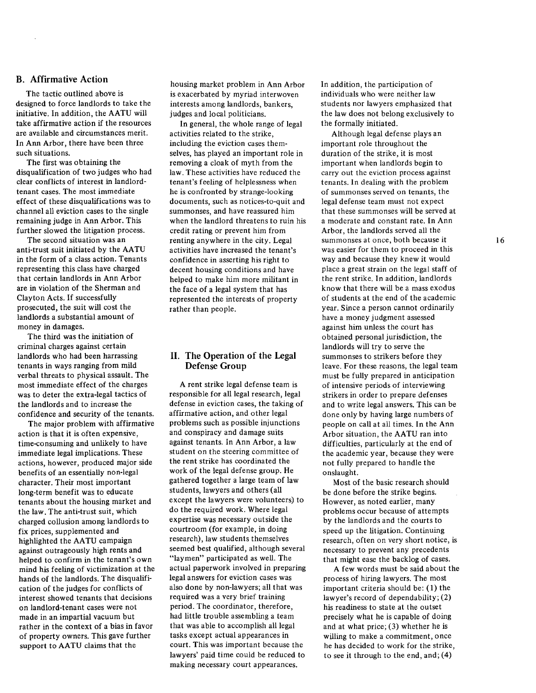# B. Affirmative Action

The tactic outlined above is designed to force landlords to take the initiative. In addition, the AATU will take affirmative action if the resources are available and circumstances merit. In Ann Arbor, there have been three such situations.

The first was obtaining the disqualification of two judges who had clear conflicts of interest in landlordtenant cases. The most immediate effect of these disqualifications was to channel all eviction cases to the single remaining judge in Ann Arbor. This further slowed the litigation process.

The second situation was an anti-trust suit initiated by the AATU in the form of a class action. Tenants representing this class have charged that certain landlords in Ann Arbor are in violation of the Sherman and Clayton Acts. If successfully prosecuted, the suit will cost the landlords a substantial amount of money in damages.

The third was the initiation of criminal charges against certain landlords who had been harrassing tenants in ways ranging from mild verbal threats to physical assault. The most immediate effect of the charges was to deter the extra-legal tactics of the landlords and to increase the confidence and security of the tenants.

The major problem with affirmative action is that it is often expensive, time-consuming and unlikely to have immediate legal implications. These actions, however, produced major side benefits of an essentially non-legal character. Their most important long-term benefit was to educate tenants about the housing market and the law. The anti-trust suit, which charged collusion among landlords to fix prices, supplemented and highlighted the AATU campaign against outrageously high rents and helped to confirm in the tenant's own mind his feeling of victimization at the hands of the landlords. The disqualification of the judges for conflicts of interest showed tenants that decisions on landlord-tenant cases were not made in an impartial vacuum but rather in the context of a bias in favor of property owners. This gave further support to AATU claims that the

housing market problem in Ann Arbor is exacerbated by myriad interwoven interests among landlords, bankers, judges and local politicians.

In general, the whole range of legal activities related to the strike, including the eviction cases themselves, has played an important role in removing a cloak of myth from the law. These activities have reduced the tenant's feeling of helplessness when he is confronted by strange-looking documents, such as notices-to-quit and summonses, and have reassured him when the landlord threatens to ruin his credit rating or prevent him from renting anywhere in the city. Legal activities have increased the tenant's confidence in asserting his right to decent housing conditions and have helped to make him more militant in the face of a legal system that has represented the interests of property rather than people.

## II. The Operation of the Legal Defense Group

A rent strike legal defense team is responsible for all legal research, legal defense in eviction cases, the taking of affirmative action, and other legal problems such as possible injunctions and conspiracy and damage suits against tenants. In Ann Arbor, a law student on the steering committee of the rent strike has coordinated the work of the legal defense group. He gathered together a large team of law students, lawyers and others (all except the lawyers were volunteers) to do the required work. Where legal expertise was necessary outside the courtroom (for example, in doing research), law students themselves seemed best qualified, although several "laymen" participated as well. The actual paperwork involved in preparing legal answers for eviction cases was also done by non-lawyers; all that was required was a very brief training period. The coordinator, therefore, had little trouble assembling a team that was able to accomplish all legal tasks except actual appearances in court. This was important because the lawyers' paid time could be reduced to making necessary court appearances.

In addition, the participation of individuals who were neither law students nor lawyers emphasized that the law does not belong exclusively to the formally initiated.

Although legal defense plays an important role throughout the duration of the strike, it is most important when landlords begin to carry out the eviction process against tenants. In dealing with the problem of summonses served on tenants, the legal defense team must not expect that these summonses will be served at a moderate and constant rate. In Ann Arbor, the landlords served all the summonses at once, both because it was easier for them to proceed in this way and because they knew it would place a great strain on the legal staff of the rent strike. In addition, landlords know that there will be a mass exodus of students at the end of the academic year. Since a person cannot ordinarily have a money judgment assessed against him unless the court has obtained personal jurisdiction, the landlords will try to serve the summonses to strikers before they leave. For these reasons, the legal team must be fully prepared in anticipation of intensive periods of interviewing strikers in order to prepare defenses and to write legal answers. This can be done only by having large numbers of people on call at all times. In the Ann Arbor situation, the AATU ran into difficulties, particularly at the end of the academic year, because they were not fully prepared to handle the onslaught.

Most of the basic research should be done before the strike begins. However, as noted earlier, many problems occur because of attempts by the landlords and the courts to speed up the litigation. Continuing research, often on very short notice, is necessary to prevent any precedents that might ease the backlog of cases.

A few words must be said about the process of hiring lawyers. The most important criteria should be: (1) the lawyer's record of dependability; (2) his readiness to state at the outset precisely what he is capable of doing and at what price; (3) whether he is willing to make a commitment, once he has decided to work for the strike, to see it through to the end, and; (4)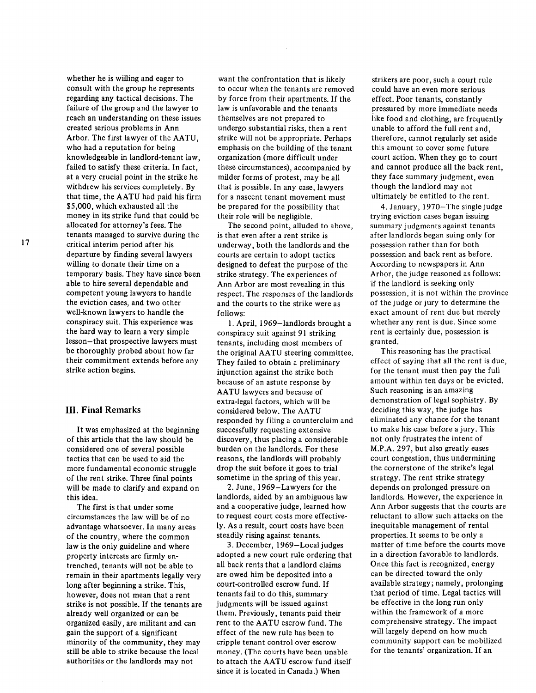whether he is willing and eager to consult with the group he represents regarding any tactical decisions. The failure of the group and the lawyer to reach an understanding on these issues created serious problems in Ann Arbor. The first lawyer of the AATU, who had a reputation for being knowledgeable in landlord-tenant law, failed to satisfy these criteria. In fact, at a very crucial point in the strike he withdrew his services completely. By that time, the AATU had paid his firm \$5,000, which exhausted all the money in its strike fund that could be allocated for attorney's fees. The tenants managed to survive during the critical interim period after his departure by finding several lawyers willing to donate their time on a temporary basis. They have since been able to hire several dependable and competent young lawyers to handle the eviction cases, and two other well-known lawyers to handle the conspiracy suit. This experience was the hard way to learn a very simple lesson-that prospective lawyers must be thoroughly probed about how far their commitment extends before any strike action begins.

## **III. Final Remarks**

It was emphasized at the beginning of this article that the law should be considered one of several possible tactics that can be used to aid the more fundamental economic struggle of the rent strike. Three final points will be made to clarify and expand on this idea.

The first is that under some circumstances the law will be of no advantage whatsoever. In many areas of the country, where the common law is the only guideline and where property interests are firmly entrenched, tenants will not be able to remain in their apartments legally very long after beginning a strike. This, however, does not mean that a rent strike is not possible. If the tenants are already well organized or can be organized easily, are militant and can gain the support of a significant minority of the community, they may still be able to strike because the local authorities or the landlords may not

want the confrontation that is likely to occur when the tenants are removed by force from their apartments. If the law is unfavorable and the tenants themselves are not prepared to undergo substantial risks, then a rent strike will not be appropriate. Perhaps emphasis on the building of the tenant organization (more difficult under these circumstances), accompanied by milder forms of protest, may be all that is possible. In any case, lawyers for a nascent tenant movement must be prepared for the possibility that their role will be negligible.

The second point, alluded to above, is that even after a rent strike is underway, both the landlords and the courts are certain to adopt tactics designed to defeat the purpose of the strike strategy. The experiences of Ann Arbor are most revealing in this respect. The responses of the landlords and the courts to the strike were as follows:

I. April, 1969-landlords brought a conspiracy suit against 91 striking tenants, including most members of the original AATU steering committee. They failed to obtain a preliminary injunction against the strike both because of an astute response by AATU lawyers and because of extra-legal factors, which will be considered below. The AATU responded by filing a counterclaim and successfully requesting extensive discovery, thus placing a considerable burden on the landlords. For these reasons, the landlords will probably drop the suit before it goes to trial sometime in the spring of this year.

2. June, 1969-Lawyers for the landlords, aided by an ambiguous law and a cooperative judge, learned how to request court costs more effectively. As a result, court costs have been steadily rising against tenants.

3. December, 1969-Localjudges adopted a new court rule ordering that all back rents that a landlord claims are owed him be deposited into a court-controlled escrow fund. If tenants fail to do this, summary judgments will be issued against them. Previously, tenants paid their rent to the AATU escrow fund. The effect of the new rule has been to cripple tenant control over escrow money. (The courts have been unable to attach the AATU escrow fund itself since it is located in Canada.) When

strikers are poor, such a court rule could have an even more serious effect. Poor tenants, constantly pressured by more immediate needs like food and clothing, are frequently unable to afford the full rent and, therefore, cannot regularly set aside this amount to cover some future court action. When they go to court and cannot produce all the back rent, they face summary judgment, even though the landlord may not ultimately be entitled to the rent.

4. January, 1970-The single judge trying eviction cases began issuing summary judgments against tenants after landlords began suing only for possession rather than for both possession and back rent as before. According to newspapers in Ann Arbor, the judge reasoned as follows: if the landlord is seeking only possession, it is not within the province of the judge or jury to determine the exact amount of rent due but merely whether any rent is due. Since some rent is certainly due, possession is granted.

This reasoning has the practical effect of saying that all the rent is due, for the tenant must then pay the full amount within ten days or be evicted. Such reasoning is an amazing demonstration of legal sophistry. By deciding this way, the judge has eliminated any chance for the tenant to make his case before a jury. This not only frustrates the intent of M.P.A. 297, but also greatly eases court congestion, thus undermining the cornerstone of the strike's legal strategy. The rent strike strategy depends on prolonged pressure on landlords. However, the experience in Ann Arbor suggests that the courts are reluctant to allow such attacks on the inequitable management of rental properties. It seems to be only a matter of time before the courts move in a direction favorable to landlords. Once this fact is recognized, energy can be directed toward the only available strategy; namely, prolonging that period of time. Legal tactics will be effective in the long run only within the framework of a more comprehensive strategy. The impact will largely depend on how much community support can be mobilized for the tenants' organization. If an